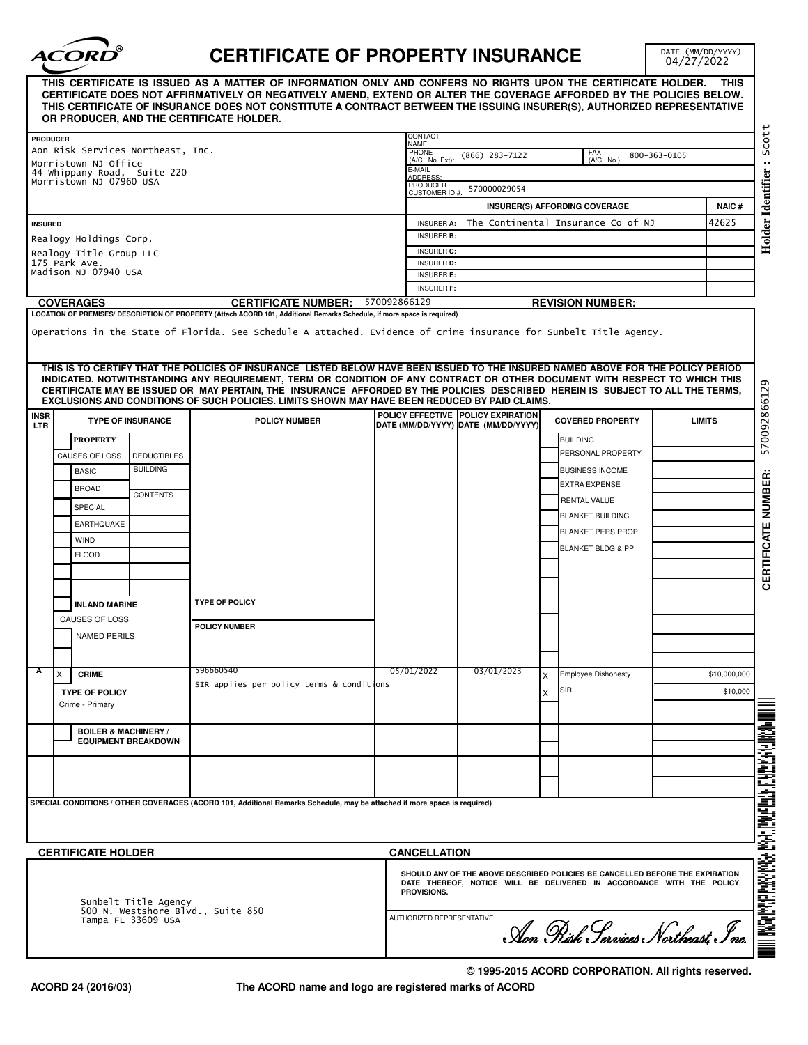

## **CERTIFICATE OF PROPERTY INSURANCE**

DATE (MM/DD/YYYY)<br>04/27/2022

|                                                                                 |                                                     |                            | THIS CERTIFICATE IS ISSUED AS A MATTER OF INFORMATION ONLY AND CONFERS NO RIGHTS UPON THE CERTIFICATE HOLDER.<br>CERTIFICATE DOES NOT AFFIRMATIVELY OR NEGATIVELY AMEND, EXTEND OR ALTER THE COVERAGE AFFORDED BY THE POLICIES BELOW.<br>THIS CERTIFICATE OF INSURANCE DOES NOT CONSTITUTE A CONTRACT BETWEEN THE ISSUING INSURER(S), AUTHORIZED REPRESENTATIVE<br>OR PRODUCER, AND THE CERTIFICATE HOLDER.                                                                                                                                                                                                               |                      |                                                                                                                                                       |   |                                    |              | THIS          |  |  |
|---------------------------------------------------------------------------------|-----------------------------------------------------|----------------------------|---------------------------------------------------------------------------------------------------------------------------------------------------------------------------------------------------------------------------------------------------------------------------------------------------------------------------------------------------------------------------------------------------------------------------------------------------------------------------------------------------------------------------------------------------------------------------------------------------------------------------|----------------------|-------------------------------------------------------------------------------------------------------------------------------------------------------|---|------------------------------------|--------------|---------------|--|--|
| <b>PRODUCER</b>                                                                 |                                                     |                            |                                                                                                                                                                                                                                                                                                                                                                                                                                                                                                                                                                                                                           | CONTACT<br>NAME:     |                                                                                                                                                       |   |                                    |              |               |  |  |
|                                                                                 | Aon Risk Services Northeast, Inc.                   |                            |                                                                                                                                                                                                                                                                                                                                                                                                                                                                                                                                                                                                                           | PHONE                | $(866)$ 283-7122                                                                                                                                      |   | <b>FAX</b>                         | 800-363-0105 |               |  |  |
|                                                                                 | Morristown NJ Office<br>44 Whippany Road, Suite 220 |                            |                                                                                                                                                                                                                                                                                                                                                                                                                                                                                                                                                                                                                           | E-MAIL               | (A/C. No. Ext):<br>(A/C. No.):                                                                                                                        |   |                                    |              |               |  |  |
|                                                                                 | Morristown NJ 07960 USA                             |                            |                                                                                                                                                                                                                                                                                                                                                                                                                                                                                                                                                                                                                           | ADDRESS<br>PRODUCER  |                                                                                                                                                       |   |                                    |              |               |  |  |
|                                                                                 |                                                     |                            |                                                                                                                                                                                                                                                                                                                                                                                                                                                                                                                                                                                                                           | <b>CUSTOMER ID#:</b> | 570000029054                                                                                                                                          |   |                                    |              |               |  |  |
|                                                                                 |                                                     |                            |                                                                                                                                                                                                                                                                                                                                                                                                                                                                                                                                                                                                                           |                      |                                                                                                                                                       |   | INSURER(S) AFFORDING COVERAGE      |              | <b>NAIC#</b>  |  |  |
| <b>INSURED</b>                                                                  |                                                     |                            |                                                                                                                                                                                                                                                                                                                                                                                                                                                                                                                                                                                                                           | <b>INSURER A:</b>    |                                                                                                                                                       |   | The Continental Insurance Co of NJ |              | 42625         |  |  |
|                                                                                 | Realogy Holdings Corp.                              |                            |                                                                                                                                                                                                                                                                                                                                                                                                                                                                                                                                                                                                                           |                      | <b>INSURER B:</b>                                                                                                                                     |   |                                    |              |               |  |  |
|                                                                                 | Realogy Title Group LLC                             |                            |                                                                                                                                                                                                                                                                                                                                                                                                                                                                                                                                                                                                                           | INSURER C:           |                                                                                                                                                       |   |                                    |              |               |  |  |
|                                                                                 | 175 Park Ave.<br>Madison NJ 07940 USA               |                            |                                                                                                                                                                                                                                                                                                                                                                                                                                                                                                                                                                                                                           | <b>INSURER D:</b>    |                                                                                                                                                       |   |                                    |              |               |  |  |
|                                                                                 |                                                     |                            |                                                                                                                                                                                                                                                                                                                                                                                                                                                                                                                                                                                                                           | <b>INSURER E:</b>    |                                                                                                                                                       |   |                                    |              |               |  |  |
|                                                                                 |                                                     |                            |                                                                                                                                                                                                                                                                                                                                                                                                                                                                                                                                                                                                                           | <b>INSURER F:</b>    |                                                                                                                                                       |   |                                    |              |               |  |  |
|                                                                                 | <b>COVERAGES</b>                                    |                            | <b>CERTIFICATE NUMBER:</b><br>LOCATION OF PREMISES/ DESCRIPTION OF PROPERTY (Attach ACORD 101, Additional Remarks Schedule, if more space is required)                                                                                                                                                                                                                                                                                                                                                                                                                                                                    | 570092866129         |                                                                                                                                                       |   | <b>REVISION NUMBER:</b>            |              |               |  |  |
|                                                                                 |                                                     |                            | Operations in the State of Florida. See Schedule A attached. Evidence of crime insurance for Sunbelt Title Agency.<br>THIS IS TO CERTIFY THAT THE POLICIES OF INSURANCE, LISTED BELOW HAVE BEEN ISSUED TO THE INSURED NAMED ABOVE FOR THE POLICY PERIOD<br>INDICATED. NOTWITHSTANDING ANY REQUIREMENT, TERM OR CONDITION OF ANY CONTRACT OR OTHER DOCUMENT WITH RESPECT TO WHICH THIS<br>CERTIFICATE MAY BE ISSUED OR MAY PERTAIN, THE INSURANCE AFFORDED BY THE POLICIES DESCRIBED HEREIN IS SUBJECT TO ALL THE TERMS,<br>EXCLUSIONS AND CONDITIONS OF SUCH POLICIES. LIMITS SHOWN MAY HAVE BEEN REDUCED BY PAID CLAIMS. |                      |                                                                                                                                                       |   |                                    |              |               |  |  |
| <b>INSR</b>                                                                     |                                                     |                            |                                                                                                                                                                                                                                                                                                                                                                                                                                                                                                                                                                                                                           |                      | POLICY EFFECTIVE POLICY EXPIRATION                                                                                                                    |   | <b>COVERED PROPERTY</b>            |              |               |  |  |
| LTR                                                                             |                                                     | <b>TYPE OF INSURANCE</b>   | <b>POLICY NUMBER</b>                                                                                                                                                                                                                                                                                                                                                                                                                                                                                                                                                                                                      |                      | DATE (MM/DD/YYYY) DATE (MM/DD/YYYY)                                                                                                                   |   |                                    |              | <b>LIMITS</b> |  |  |
|                                                                                 | <b>PROPERTY</b>                                     |                            |                                                                                                                                                                                                                                                                                                                                                                                                                                                                                                                                                                                                                           |                      |                                                                                                                                                       |   | <b>BUILDING</b>                    |              |               |  |  |
|                                                                                 | CAUSES OF LOSS                                      | <b>DEDUCTIBLES</b>         |                                                                                                                                                                                                                                                                                                                                                                                                                                                                                                                                                                                                                           |                      |                                                                                                                                                       |   | PERSONAL PROPERTY                  |              |               |  |  |
|                                                                                 | <b>BASIC</b>                                        | <b>BUILDING</b>            |                                                                                                                                                                                                                                                                                                                                                                                                                                                                                                                                                                                                                           |                      |                                                                                                                                                       |   | <b>BUSINESS INCOME</b>             |              |               |  |  |
|                                                                                 | <b>BROAD</b>                                        |                            |                                                                                                                                                                                                                                                                                                                                                                                                                                                                                                                                                                                                                           |                      |                                                                                                                                                       |   | <b>EXTRA EXPENSE</b>               |              |               |  |  |
|                                                                                 |                                                     | <b>CONTENTS</b>            |                                                                                                                                                                                                                                                                                                                                                                                                                                                                                                                                                                                                                           |                      |                                                                                                                                                       |   | <b>RENTAL VALUE</b>                |              |               |  |  |
|                                                                                 | SPECIAL                                             |                            |                                                                                                                                                                                                                                                                                                                                                                                                                                                                                                                                                                                                                           |                      |                                                                                                                                                       |   | <b>BLANKET BUILDING</b>            |              |               |  |  |
|                                                                                 | <b>EARTHQUAKE</b>                                   |                            |                                                                                                                                                                                                                                                                                                                                                                                                                                                                                                                                                                                                                           |                      |                                                                                                                                                       |   | <b>BLANKET PERS PROP</b>           |              |               |  |  |
|                                                                                 | <b>WIND</b>                                         |                            |                                                                                                                                                                                                                                                                                                                                                                                                                                                                                                                                                                                                                           |                      |                                                                                                                                                       |   |                                    |              |               |  |  |
|                                                                                 | <b>FLOOD</b>                                        |                            |                                                                                                                                                                                                                                                                                                                                                                                                                                                                                                                                                                                                                           |                      |                                                                                                                                                       |   | <b>BLANKET BLDG &amp; PP</b>       |              |               |  |  |
|                                                                                 |                                                     |                            |                                                                                                                                                                                                                                                                                                                                                                                                                                                                                                                                                                                                                           |                      |                                                                                                                                                       |   |                                    |              |               |  |  |
|                                                                                 |                                                     |                            |                                                                                                                                                                                                                                                                                                                                                                                                                                                                                                                                                                                                                           |                      |                                                                                                                                                       |   |                                    |              |               |  |  |
|                                                                                 | <b>INLAND MARINE</b>                                |                            | <b>TYPE OF POLICY</b>                                                                                                                                                                                                                                                                                                                                                                                                                                                                                                                                                                                                     |                      |                                                                                                                                                       |   |                                    |              |               |  |  |
|                                                                                 | CAUSES OF LOSS                                      |                            |                                                                                                                                                                                                                                                                                                                                                                                                                                                                                                                                                                                                                           |                      |                                                                                                                                                       |   |                                    |              |               |  |  |
|                                                                                 |                                                     |                            | <b>POLICY NUMBER</b>                                                                                                                                                                                                                                                                                                                                                                                                                                                                                                                                                                                                      |                      |                                                                                                                                                       |   |                                    |              |               |  |  |
|                                                                                 | <b>NAMED PERILS</b>                                 |                            |                                                                                                                                                                                                                                                                                                                                                                                                                                                                                                                                                                                                                           |                      |                                                                                                                                                       |   |                                    |              |               |  |  |
|                                                                                 |                                                     |                            |                                                                                                                                                                                                                                                                                                                                                                                                                                                                                                                                                                                                                           |                      |                                                                                                                                                       |   |                                    |              |               |  |  |
| А                                                                               | х<br><b>CRIME</b>                                   |                            | 596660540                                                                                                                                                                                                                                                                                                                                                                                                                                                                                                                                                                                                                 | 05/01/2022           | 03/01/2023                                                                                                                                            |   | <b>Employee Dishonesty</b>         |              | \$10,000,000  |  |  |
|                                                                                 |                                                     |                            | SIR applies per policy terms & conditions                                                                                                                                                                                                                                                                                                                                                                                                                                                                                                                                                                                 |                      |                                                                                                                                                       |   | SIR                                |              | \$10,000      |  |  |
|                                                                                 | <b>TYPE OF POLICY</b><br>Crime - Primary            |                            |                                                                                                                                                                                                                                                                                                                                                                                                                                                                                                                                                                                                                           |                      |                                                                                                                                                       | X |                                    |              |               |  |  |
|                                                                                 |                                                     |                            |                                                                                                                                                                                                                                                                                                                                                                                                                                                                                                                                                                                                                           |                      |                                                                                                                                                       |   |                                    |              |               |  |  |
|                                                                                 | <b>BOILER &amp; MACHINERY /</b>                     |                            |                                                                                                                                                                                                                                                                                                                                                                                                                                                                                                                                                                                                                           |                      |                                                                                                                                                       |   |                                    |              |               |  |  |
|                                                                                 |                                                     | <b>EQUIPMENT BREAKDOWN</b> |                                                                                                                                                                                                                                                                                                                                                                                                                                                                                                                                                                                                                           |                      |                                                                                                                                                       |   |                                    |              |               |  |  |
|                                                                                 |                                                     |                            |                                                                                                                                                                                                                                                                                                                                                                                                                                                                                                                                                                                                                           |                      |                                                                                                                                                       |   |                                    |              |               |  |  |
|                                                                                 |                                                     |                            |                                                                                                                                                                                                                                                                                                                                                                                                                                                                                                                                                                                                                           |                      |                                                                                                                                                       |   |                                    |              |               |  |  |
|                                                                                 |                                                     |                            |                                                                                                                                                                                                                                                                                                                                                                                                                                                                                                                                                                                                                           |                      |                                                                                                                                                       |   |                                    |              |               |  |  |
|                                                                                 |                                                     |                            | SPECIAL CONDITIONS / OTHER COVERAGES (ACORD 101, Additional Remarks Schedule, may be attached if more space is required)                                                                                                                                                                                                                                                                                                                                                                                                                                                                                                  |                      |                                                                                                                                                       |   |                                    |              |               |  |  |
|                                                                                 |                                                     |                            |                                                                                                                                                                                                                                                                                                                                                                                                                                                                                                                                                                                                                           |                      |                                                                                                                                                       |   |                                    |              |               |  |  |
|                                                                                 |                                                     |                            |                                                                                                                                                                                                                                                                                                                                                                                                                                                                                                                                                                                                                           |                      |                                                                                                                                                       |   |                                    |              |               |  |  |
|                                                                                 |                                                     |                            |                                                                                                                                                                                                                                                                                                                                                                                                                                                                                                                                                                                                                           |                      |                                                                                                                                                       |   |                                    |              |               |  |  |
|                                                                                 | <b>CERTIFICATE HOLDER</b>                           |                            |                                                                                                                                                                                                                                                                                                                                                                                                                                                                                                                                                                                                                           | <b>CANCELLATION</b>  |                                                                                                                                                       |   |                                    |              |               |  |  |
| Sunbelt Title Agency<br>500 N. Westshore Blvd., Suite 850<br>Tampa FL 33609 USA |                                                     |                            |                                                                                                                                                                                                                                                                                                                                                                                                                                                                                                                                                                                                                           | PROVISIONS.          | SHOULD ANY OF THE ABOVE DESCRIBED POLICIES BE CANCELLED BEFORE THE EXPIRATION<br>DATE THEREOF, NOTICE WILL BE DELIVERED IN ACCORDANCE WITH THE POLICY |   |                                    |              |               |  |  |
|                                                                                 |                                                     |                            |                                                                                                                                                                                                                                                                                                                                                                                                                                                                                                                                                                                                                           |                      | III DAYAR DAYAR ARGA DAAR DAARINGA FINDEERAH<br>AUTHORIZED REPRESENTATIVE<br>Aon Risk Services Northeast, Inc.                                        |   |                                    |              |               |  |  |

**The ACORD name and logo are registered marks of ACORD**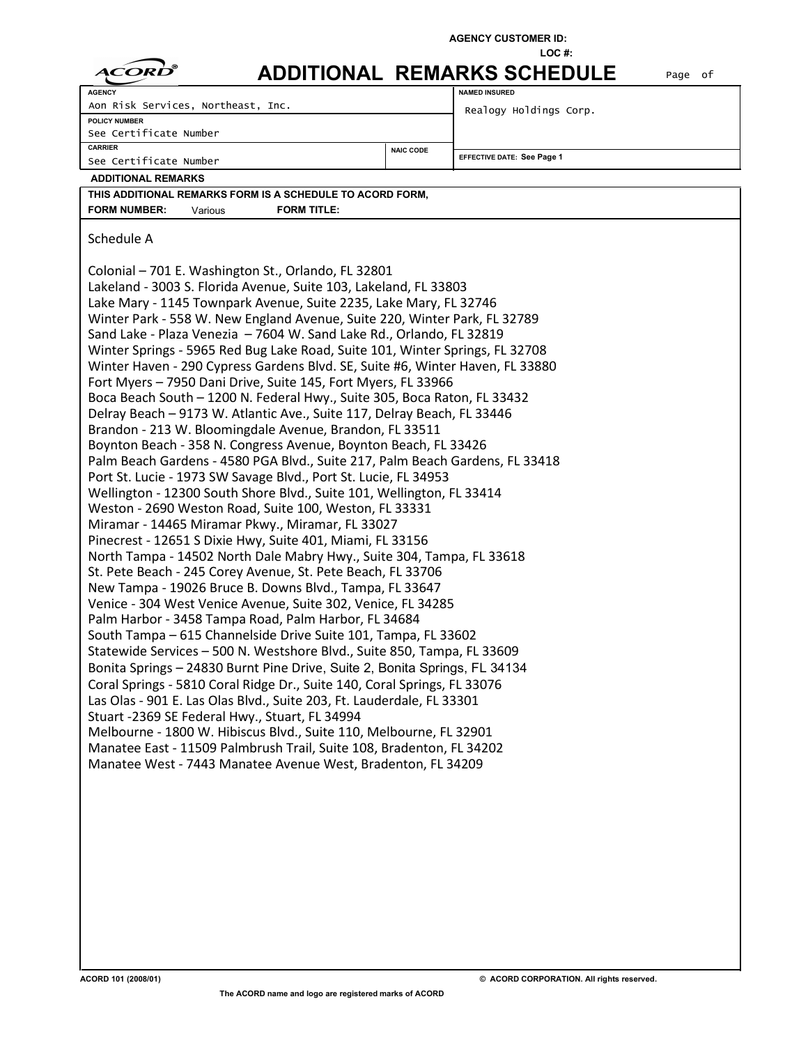|  |  | <b>AGENCY CUSTOMER ID:</b> |
|--|--|----------------------------|
|--|--|----------------------------|

|                                                                                                                                          |                  | LOC#:                              |         |  |  |  |
|------------------------------------------------------------------------------------------------------------------------------------------|------------------|------------------------------------|---------|--|--|--|
| CORD                                                                                                                                     |                  | <b>ADDITIONAL REMARKS SCHEDULE</b> | Page of |  |  |  |
| <b>AGENCY</b>                                                                                                                            |                  | <b>NAMED INSURED</b>               |         |  |  |  |
| Aon Risk Services, Northeast, Inc.                                                                                                       |                  | Realogy Holdings Corp.             |         |  |  |  |
| POLICY NUMBER                                                                                                                            |                  |                                    |         |  |  |  |
| See Certificate Number<br><b>CARRIER</b>                                                                                                 |                  |                                    |         |  |  |  |
| See Certificate Number                                                                                                                   | <b>NAIC CODE</b> | <b>EFFECTIVE DATE: See Page 1</b>  |         |  |  |  |
| <b>ADDITIONAL REMARKS</b>                                                                                                                |                  |                                    |         |  |  |  |
| THIS ADDITIONAL REMARKS FORM IS A SCHEDULE TO ACORD FORM,                                                                                |                  |                                    |         |  |  |  |
| <b>FORM NUMBER:</b><br><b>FORM TITLE:</b><br>Various                                                                                     |                  |                                    |         |  |  |  |
|                                                                                                                                          |                  |                                    |         |  |  |  |
| Schedule A                                                                                                                               |                  |                                    |         |  |  |  |
|                                                                                                                                          |                  |                                    |         |  |  |  |
| Colonial - 701 E. Washington St., Orlando, FL 32801                                                                                      |                  |                                    |         |  |  |  |
| Lakeland - 3003 S. Florida Avenue, Suite 103, Lakeland, FL 33803                                                                         |                  |                                    |         |  |  |  |
| Lake Mary - 1145 Townpark Avenue, Suite 2235, Lake Mary, FL 32746                                                                        |                  |                                    |         |  |  |  |
| Winter Park - 558 W. New England Avenue, Suite 220, Winter Park, FL 32789                                                                |                  |                                    |         |  |  |  |
| Sand Lake - Plaza Venezia - 7604 W. Sand Lake Rd., Orlando, FL 32819                                                                     |                  |                                    |         |  |  |  |
| Winter Springs - 5965 Red Bug Lake Road, Suite 101, Winter Springs, FL 32708                                                             |                  |                                    |         |  |  |  |
| Winter Haven - 290 Cypress Gardens Blvd. SE, Suite #6, Winter Haven, FL 33880                                                            |                  |                                    |         |  |  |  |
| Fort Myers - 7950 Dani Drive, Suite 145, Fort Myers, FL 33966                                                                            |                  |                                    |         |  |  |  |
| Boca Beach South - 1200 N. Federal Hwy., Suite 305, Boca Raton, FL 33432                                                                 |                  |                                    |         |  |  |  |
| Delray Beach - 9173 W. Atlantic Ave., Suite 117, Delray Beach, FL 33446                                                                  |                  |                                    |         |  |  |  |
| Brandon - 213 W. Bloomingdale Avenue, Brandon, FL 33511                                                                                  |                  |                                    |         |  |  |  |
| Boynton Beach - 358 N. Congress Avenue, Boynton Beach, FL 33426                                                                          |                  |                                    |         |  |  |  |
| Palm Beach Gardens - 4580 PGA Blvd., Suite 217, Palm Beach Gardens, FL 33418                                                             |                  |                                    |         |  |  |  |
| Port St. Lucie - 1973 SW Savage Blvd., Port St. Lucie, FL 34953<br>Wellington - 12300 South Shore Blvd., Suite 101, Wellington, FL 33414 |                  |                                    |         |  |  |  |
| Weston - 2690 Weston Road, Suite 100, Weston, FL 33331                                                                                   |                  |                                    |         |  |  |  |
| Miramar - 14465 Miramar Pkwy., Miramar, FL 33027                                                                                         |                  |                                    |         |  |  |  |
| Pinecrest - 12651 S Dixie Hwy, Suite 401, Miami, FL 33156                                                                                |                  |                                    |         |  |  |  |
| North Tampa - 14502 North Dale Mabry Hwy., Suite 304, Tampa, FL 33618                                                                    |                  |                                    |         |  |  |  |
| St. Pete Beach - 245 Corey Avenue, St. Pete Beach, FL 33706                                                                              |                  |                                    |         |  |  |  |
| New Tampa - 19026 Bruce B. Downs Blvd., Tampa, FL 33647                                                                                  |                  |                                    |         |  |  |  |
| Venice - 304 West Venice Avenue, Suite 302, Venice, FL 34285                                                                             |                  |                                    |         |  |  |  |
| Palm Harbor - 3458 Tampa Road, Palm Harbor, FL 34684                                                                                     |                  |                                    |         |  |  |  |
| South Tampa - 615 Channelside Drive Suite 101, Tampa, FL 33602                                                                           |                  |                                    |         |  |  |  |
| Statewide Services - 500 N. Westshore Blvd., Suite 850, Tampa, FL 33609                                                                  |                  |                                    |         |  |  |  |
| Bonita Springs - 24830 Burnt Pine Drive, Suite 2, Bonita Springs, FL 34134                                                               |                  |                                    |         |  |  |  |
| Coral Springs - 5810 Coral Ridge Dr., Suite 140, Coral Springs, FL 33076                                                                 |                  |                                    |         |  |  |  |
| Las Olas - 901 E. Las Olas Blvd., Suite 203, Ft. Lauderdale, FL 33301                                                                    |                  |                                    |         |  |  |  |
| Stuart -2369 SE Federal Hwy., Stuart, FL 34994                                                                                           |                  |                                    |         |  |  |  |
| Melbourne - 1800 W. Hibiscus Blvd., Suite 110, Melbourne, FL 32901                                                                       |                  |                                    |         |  |  |  |
| Manatee East - 11509 Palmbrush Trail, Suite 108, Bradenton, FL 34202                                                                     |                  |                                    |         |  |  |  |
| Manatee West - 7443 Manatee Avenue West, Bradenton, FL 34209                                                                             |                  |                                    |         |  |  |  |
|                                                                                                                                          |                  |                                    |         |  |  |  |
|                                                                                                                                          |                  |                                    |         |  |  |  |
|                                                                                                                                          |                  |                                    |         |  |  |  |